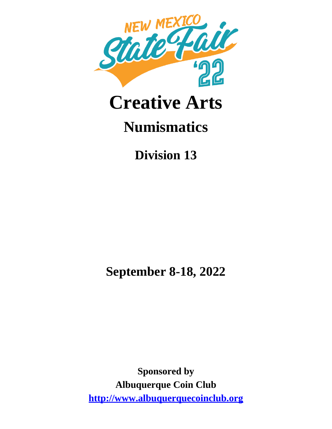

# **Creative Arts**

# **Numismatics**

**Division 13**

**September 8-18, 2022**

**Sponsored by Albuquerque Coin Club http://www.albuquerquecoinclub.org**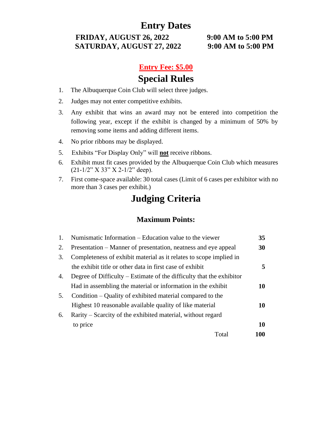**FRIDAY, AUGUST 26, 2022 9:00 AM to 5:00 PM SATURDAY, AUGUST 27, 2022 9:00 AM to 5:00 PM**

#### **Entry Fee: \$5.00**

# **Special Rules**

- 1. The Albuquerque Coin Club will select three judges.
- 2. Judges may not enter competitive exhibits.
- 3. Any exhibit that wins an award may not be entered into competition the following year, except if the exhibit is changed by a minimum of 50% by removing some items and adding different items.
- 4. No prior ribbons may be displayed.
- 5. Exhibits "For Display Only" will **not** receive ribbons.
- 6. Exhibit must fit cases provided by the Albuquerque Coin Club which measures  $(21-1/2"$  X 33" X 2-1/2" deep).
- 7. First come-space available: 30 total cases (Limit of 6 cases per exhibitor with no more than 3 cases per exhibit.)

# **Judging Criteria**

#### **Maximum Points:**

| 1. | Numismatic Information – Education value to the viewer                 | 35        |
|----|------------------------------------------------------------------------|-----------|
| 2. | Presentation – Manner of presentation, neatness and eye appeal         | 30        |
| 3. | Completeness of exhibit material as it relates to scope implied in     |           |
|    | the exhibit title or other data in first case of exhibit               | 5         |
| 4. | Degree of Difficulty $-$ Estimate of the difficulty that the exhibitor |           |
|    | Had in assembling the material or information in the exhibit           | 10        |
| 5. | Condition – Quality of exhibited material compared to the              |           |
|    | Highest 10 reasonable available quality of like material               | 10        |
| 6. | Rarity – Scarcity of the exhibited material, without regard            |           |
|    | to price                                                               | <b>10</b> |
|    | Total                                                                  | 100       |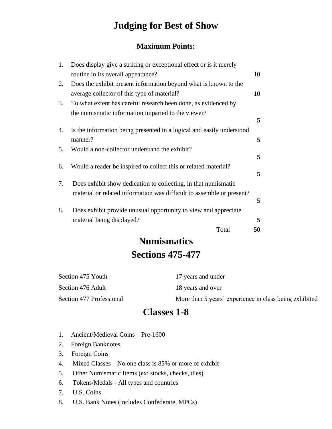# **Judging for Best of Show**

#### **Maximum Points:**

| 1. | Does display give a striking or exceptional effect or is it merely    |    |
|----|-----------------------------------------------------------------------|----|
|    | routine in its overall appearance?                                    | 10 |
| 2. | Does the exhibit present information beyond what is known to the      |    |
|    | average collector of this type of material?                           | 10 |
| 3. | To what extent has careful research been done, as evidenced by        |    |
|    | the numismatic information imparted to the viewer?                    |    |
|    |                                                                       | 5  |
| 4. | Is the information being presented in a logical and easily understood |    |
|    | manner?                                                               | 5  |
| 5. | Would a non-collector understand the exhibit?                         |    |
|    |                                                                       | 5  |
| 6. | Would a reader be inspired to collect this or related material?       | 5  |
| 7. | Does exhibit show dedication to collecting, in that numismatic        |    |
|    | material or related information was difficult to assemble or present? |    |
|    |                                                                       | 5  |
| 8. | Does exhibit provide unusual opportunity to view and appreciate       |    |
|    | material being displayed?                                             | 5  |
|    | Total                                                                 | 50 |
|    |                                                                       |    |

# **Numismatics Sections 475-477**

| Section 475 Youth        | 17 years and under                                     |
|--------------------------|--------------------------------------------------------|
| Section 476 Adult        | 18 years and over                                      |
| Section 477 Professional | More than 5 years' experience in class being exhibited |

### **Classes 1-8**

- 1. Ancient/Medieval Coins Pre-1600
- 2. Foreign Banknotes
- 3. Foreign Coins
- 4. Mixed Classes No one class is 85% or more of exhibit
- 5. Other Numismatic Items (ex: stocks, checks, dies)
- 6. Tokens/Medals All types and countries
- 7. U.S. Coins
- 8. U.S. Bank Notes (includes Confederate, MPCs)